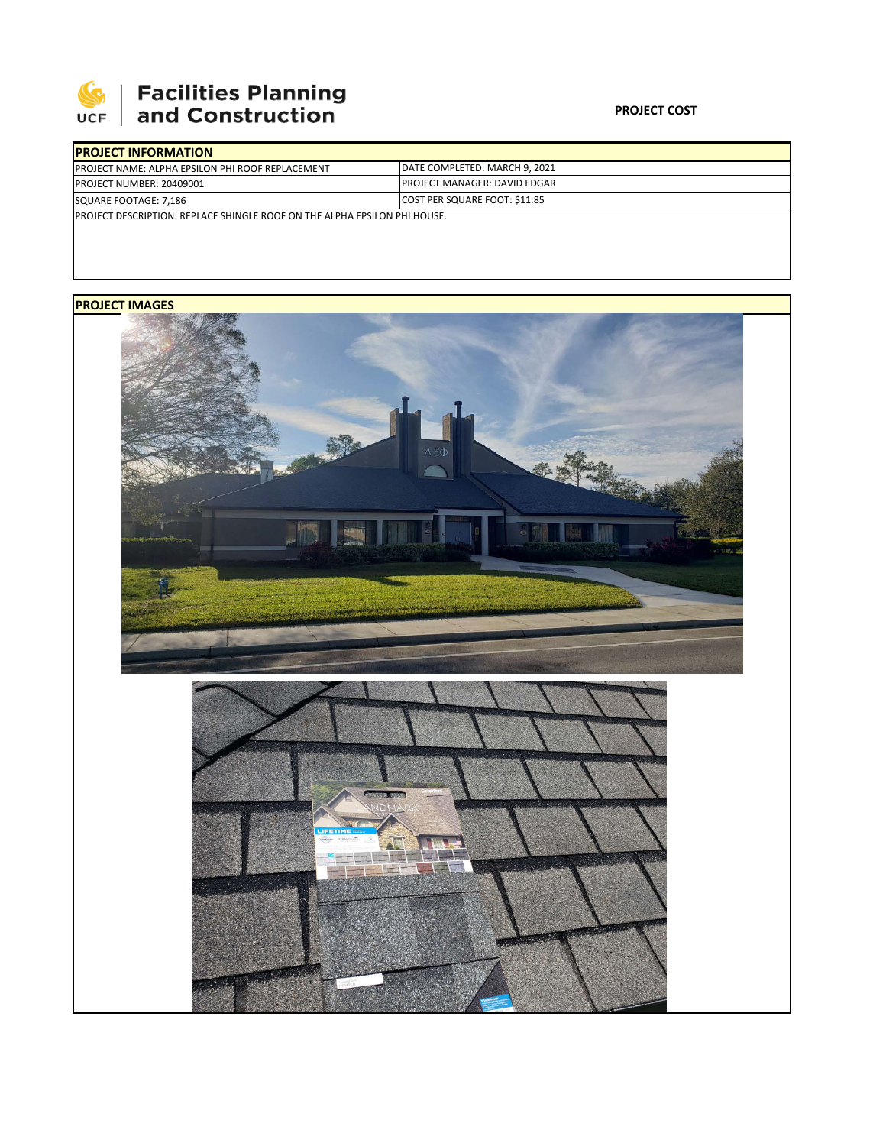

## **Facilities Planning**<br>and Construction

| <b>IPROJECT INFORMATION</b>                                                       |                                       |  |
|-----------------------------------------------------------------------------------|---------------------------------------|--|
| <b>PROJECT NAME: ALPHA EPSILON PHI ROOF REPLACEMENT</b>                           | <b>IDATE COMPLETED: MARCH 9. 2021</b> |  |
| <b>PROJECT NUMBER: 20409001</b>                                                   | <b>PROJECT MANAGER: DAVID EDGAR</b>   |  |
| SQUARE FOOTAGE: 7,186                                                             | COST PER SQUARE FOOT: \$11.85         |  |
| <b>IPROJECT DESCRIPTION: REPLACE SHINGLE ROOF ON THE ALPHA EPSILON PHI HOUSE.</b> |                                       |  |

## **PROJECT IMAGES**